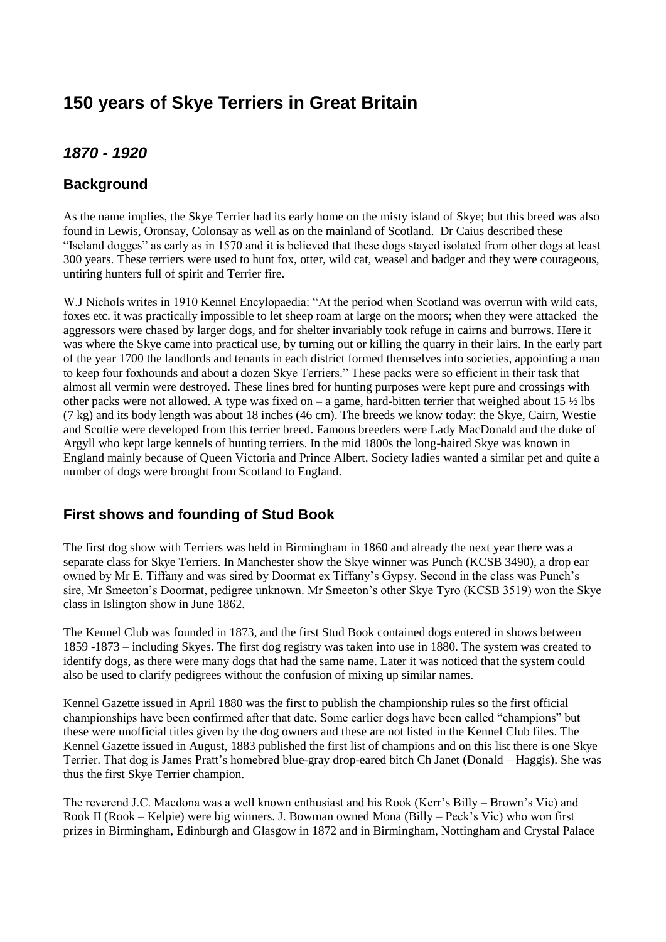# **150 years of Skye Terriers in Great Britain**

# *1870 - 1920*

### **Background**

As the name implies, the Skye Terrier had its early home on the misty island of Skye; but this breed was also found in Lewis, Oronsay, Colonsay as well as on the mainland of Scotland. Dr Caius described these "Iseland dogges" as early as in 1570 and it is believed that these dogs stayed isolated from other dogs at least 300 years. These terriers were used to hunt fox, otter, wild cat, weasel and badger and they were courageous, untiring hunters full of spirit and Terrier fire.

W.J Nichols writes in 1910 Kennel Encylopaedia: "At the period when Scotland was overrun with wild cats, foxes etc. it was practically impossible to let sheep roam at large on the moors; when they were attacked the aggressors were chased by larger dogs, and for shelter invariably took refuge in cairns and burrows. Here it was where the Skye came into practical use, by turning out or killing the quarry in their lairs. In the early part of the year 1700 the landlords and tenants in each district formed themselves into societies, appointing a man to keep four foxhounds and about a dozen Skye Terriers." These packs were so efficient in their task that almost all vermin were destroyed. These lines bred for hunting purposes were kept pure and crossings with other packs were not allowed. A type was fixed on – a game, hard-bitten terrier that weighed about 15  $\frac{1}{2}$  lbs (7 kg) and its body length was about 18 inches (46 cm). The breeds we know today: the Skye, Cairn, Westie and Scottie were developed from this terrier breed. Famous breeders were Lady MacDonald and the duke of Argyll who kept large kennels of hunting terriers. In the mid 1800s the long-haired Skye was known in England mainly because of Queen Victoria and Prince Albert. Society ladies wanted a similar pet and quite a number of dogs were brought from Scotland to England.

# **First shows and founding of Stud Book**

The first dog show with Terriers was held in Birmingham in 1860 and already the next year there was a separate class for Skye Terriers. In Manchester show the Skye winner was Punch (KCSB 3490), a drop ear owned by Mr E. Tiffany and was sired by Doormat ex Tiffany's Gypsy. Second in the class was Punch's sire, Mr Smeeton's Doormat, pedigree unknown. Mr Smeeton's other Skye Tyro (KCSB 3519) won the Skye class in Islington show in June 1862.

The Kennel Club was founded in 1873, and the first Stud Book contained dogs entered in shows between 1859 -1873 – including Skyes. The first dog registry was taken into use in 1880. The system was created to identify dogs, as there were many dogs that had the same name. Later it was noticed that the system could also be used to clarify pedigrees without the confusion of mixing up similar names.

Kennel Gazette issued in April 1880 was the first to publish the championship rules so the first official championships have been confirmed after that date. Some earlier dogs have been called "champions" but these were unofficial titles given by the dog owners and these are not listed in the Kennel Club files. The Kennel Gazette issued in August, 1883 published the first list of champions and on this list there is one Skye Terrier. That dog is James Pratt's homebred blue-gray drop-eared bitch Ch Janet (Donald – Haggis). She was thus the first Skye Terrier champion.

The reverend J.C. Macdona was a well known enthusiast and his Rook (Kerr's Billy – Brown's Vic) and Rook II (Rook – Kelpie) were big winners. J. Bowman owned Mona (Billy – Peck's Vic) who won first prizes in Birmingham, Edinburgh and Glasgow in 1872 and in Birmingham, Nottingham and Crystal Palace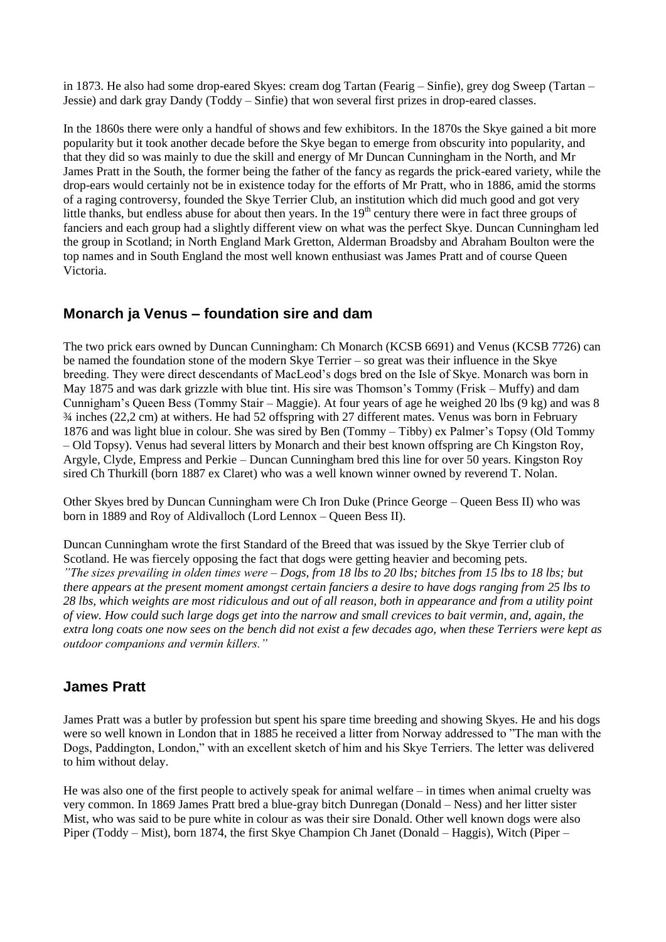in 1873. He also had some drop-eared Skyes: cream dog Tartan (Fearig – Sinfie), grey dog Sweep (Tartan – Jessie) and dark gray Dandy (Toddy – Sinfie) that won several first prizes in drop-eared classes.

In the 1860s there were only a handful of shows and few exhibitors. In the 1870s the Skye gained a bit more popularity but it took another decade before the Skye began to emerge from obscurity into popularity, and that they did so was mainly to due the skill and energy of Mr Duncan Cunningham in the North, and Mr James Pratt in the South, the former being the father of the fancy as regards the prick-eared variety, while the drop-ears would certainly not be in existence today for the efforts of Mr Pratt, who in 1886, amid the storms of a raging controversy, founded the Skye Terrier Club, an institution which did much good and got very little thanks, but endless abuse for about then years. In the 19<sup>th</sup> century there were in fact three groups of fanciers and each group had a slightly different view on what was the perfect Skye. Duncan Cunningham led the group in Scotland; in North England Mark Gretton, Alderman Broadsby and Abraham Boulton were the top names and in South England the most well known enthusiast was James Pratt and of course Queen Victoria.

### **Monarch ja Venus – foundation sire and dam**

The two prick ears owned by Duncan Cunningham: Ch Monarch (KCSB 6691) and Venus (KCSB 7726) can be named the foundation stone of the modern Skye Terrier – so great was their influence in the Skye breeding. They were direct descendants of MacLeod's dogs bred on the Isle of Skye. Monarch was born in May 1875 and was dark grizzle with blue tint. His sire was Thomson's Tommy (Frisk – Muffy) and dam Cunnigham's Queen Bess (Tommy Stair – Maggie). At four years of age he weighed 20 lbs (9 kg) and was 8 ¾ inches (22,2 cm) at withers. He had 52 offspring with 27 different mates. Venus was born in February 1876 and was light blue in colour. She was sired by Ben (Tommy – Tibby) ex Palmer's Topsy (Old Tommy – Old Topsy). Venus had several litters by Monarch and their best known offspring are Ch Kingston Roy, Argyle, Clyde, Empress and Perkie – Duncan Cunningham bred this line for over 50 years. Kingston Roy sired Ch Thurkill (born 1887 ex Claret) who was a well known winner owned by reverend T. Nolan.

Other Skyes bred by Duncan Cunningham were Ch Iron Duke (Prince George – Queen Bess II) who was born in 1889 and Roy of Aldivalloch (Lord Lennox – Queen Bess II).

Duncan Cunningham wrote the first Standard of the Breed that was issued by the Skye Terrier club of Scotland. He was fiercely opposing the fact that dogs were getting heavier and becoming pets. *"The sizes prevailing in olden times were – Dogs, from 18 lbs to 20 lbs; bitches from 15 lbs to 18 lbs; but there appears at the present moment amongst certain fanciers a desire to have dogs ranging from 25 lbs to 28 lbs, which weights are most ridiculous and out of all reason, both in appearance and from a utility point of view. How could such large dogs get into the narrow and small crevices to bait vermin, and, again, the extra long coats one now sees on the bench did not exist a few decades ago, when these Terriers were kept as outdoor companions and vermin killers."*

### **James Pratt**

James Pratt was a butler by profession but spent his spare time breeding and showing Skyes. He and his dogs were so well known in London that in 1885 he received a litter from Norway addressed to "The man with the Dogs, Paddington, London," with an excellent sketch of him and his Skye Terriers. The letter was delivered to him without delay.

He was also one of the first people to actively speak for animal welfare – in times when animal cruelty was very common. In 1869 James Pratt bred a blue-gray bitch Dunregan (Donald – Ness) and her litter sister Mist, who was said to be pure white in colour as was their sire Donald. Other well known dogs were also Piper (Toddy – Mist), born 1874, the first Skye Champion Ch Janet (Donald – Haggis), Witch (Piper –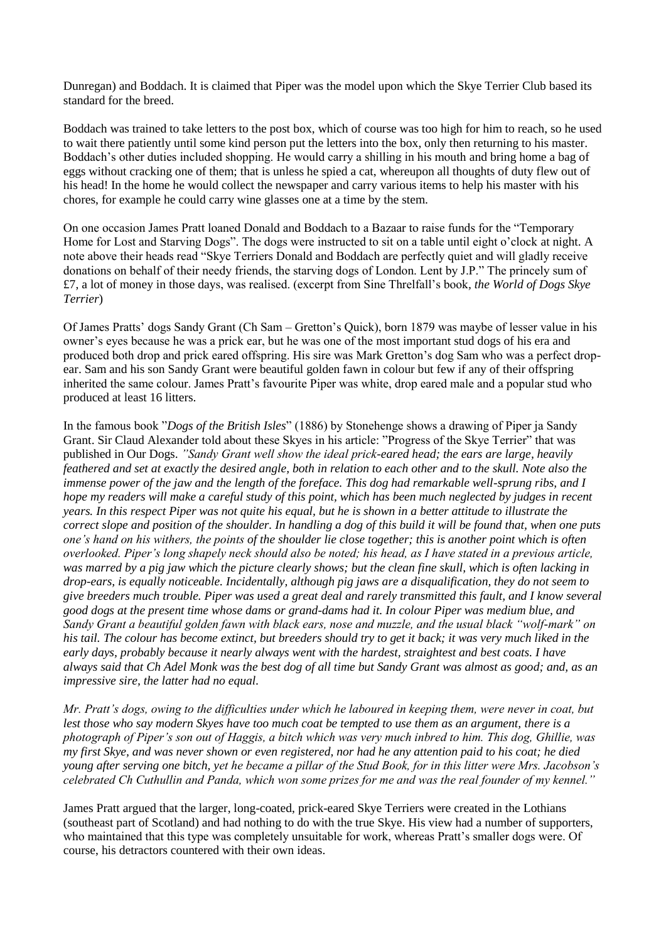Dunregan) and Boddach. It is claimed that Piper was the model upon which the Skye Terrier Club based its standard for the breed.

Boddach was trained to take letters to the post box, which of course was too high for him to reach, so he used to wait there patiently until some kind person put the letters into the box, only then returning to his master. Boddach's other duties included shopping. He would carry a shilling in his mouth and bring home a bag of eggs without cracking one of them; that is unless he spied a cat, whereupon all thoughts of duty flew out of his head! In the home he would collect the newspaper and carry various items to help his master with his chores, for example he could carry wine glasses one at a time by the stem.

On one occasion James Pratt loaned Donald and Boddach to a Bazaar to raise funds for the "Temporary Home for Lost and Starving Dogs". The dogs were instructed to sit on a table until eight o'clock at night. A note above their heads read "Skye Terriers Donald and Boddach are perfectly quiet and will gladly receive donations on behalf of their needy friends, the starving dogs of London. Lent by J.P." The princely sum of £7, a lot of money in those days, was realised. (excerpt from Sine Threlfall's book*, the World of Dogs Skye Terrier*)

Of James Pratts' dogs Sandy Grant (Ch Sam – Gretton's Quick), born 1879 was maybe of lesser value in his owner's eyes because he was a prick ear, but he was one of the most important stud dogs of his era and produced both drop and prick eared offspring. His sire was Mark Gretton's dog Sam who was a perfect dropear. Sam and his son Sandy Grant were beautiful golden fawn in colour but few if any of their offspring inherited the same colour. James Pratt's favourite Piper was white, drop eared male and a popular stud who produced at least 16 litters.

In the famous book "*Dogs of the British Isles*" (1886) by Stonehenge shows a drawing of Piper ja Sandy Grant. Sir Claud Alexander told about these Skyes in his article: "Progress of the Skye Terrier" that was published in Our Dogs. *"Sandy Grant well show the ideal prick-eared head; the ears are large, heavily feathered and set at exactly the desired angle, both in relation to each other and to the skull. Note also the immense power of the jaw and the length of the foreface. This dog had remarkable well-sprung ribs, and I hope my readers will make a careful study of this point, which has been much neglected by judges in recent years. In this respect Piper was not quite his equal, but he is shown in a better attitude to illustrate the correct slope and position of the shoulder. In handling a dog of this build it will be found that, when one puts one's hand on his withers, the points of the shoulder lie close together; this is another point which is often overlooked. Piper's long shapely neck should also be noted; his head, as I have stated in a previous article, was marred by a pig jaw which the picture clearly shows; but the clean fine skull, which is often lacking in drop-ears, is equally noticeable. Incidentally, although pig jaws are a disqualification, they do not seem to give breeders much trouble. Piper was used a great deal and rarely transmitted this fault, and I know several good dogs at the present time whose dams or grand-dams had it. In colour Piper was medium blue, and Sandy Grant a beautiful golden fawn with black ears, nose and muzzle, and the usual black "wolf-mark" on his tail. The colour has become extinct, but breeders should try to get it back; it was very much liked in the early days, probably because it nearly always went with the hardest, straightest and best coats. I have always said that Ch Adel Monk was the best dog of all time but Sandy Grant was almost as good; and, as an impressive sire, the latter had no equal.*

*Mr. Pratt's dogs, owing to the difficulties under which he laboured in keeping them, were never in coat, but lest those who say modern Skyes have too much coat be tempted to use them as an argument, there is a photograph of Piper's son out of Haggis, a bitch which was very much inbred to him. This dog, Ghillie, was my first Skye, and was never shown or even registered, nor had he any attention paid to his coat; he died young after serving one bitch, yet he became a pillar of the Stud Book, for in this litter were Mrs. Jacobson's celebrated Ch Cuthullin and Panda, which won some prizes for me and was the real founder of my kennel."*

James Pratt argued that the larger, long-coated, prick-eared Skye Terriers were created in the Lothians (southeast part of Scotland) and had nothing to do with the true Skye. His view had a number of supporters, who maintained that this type was completely unsuitable for work, whereas Pratt's smaller dogs were. Of course, his detractors countered with their own ideas.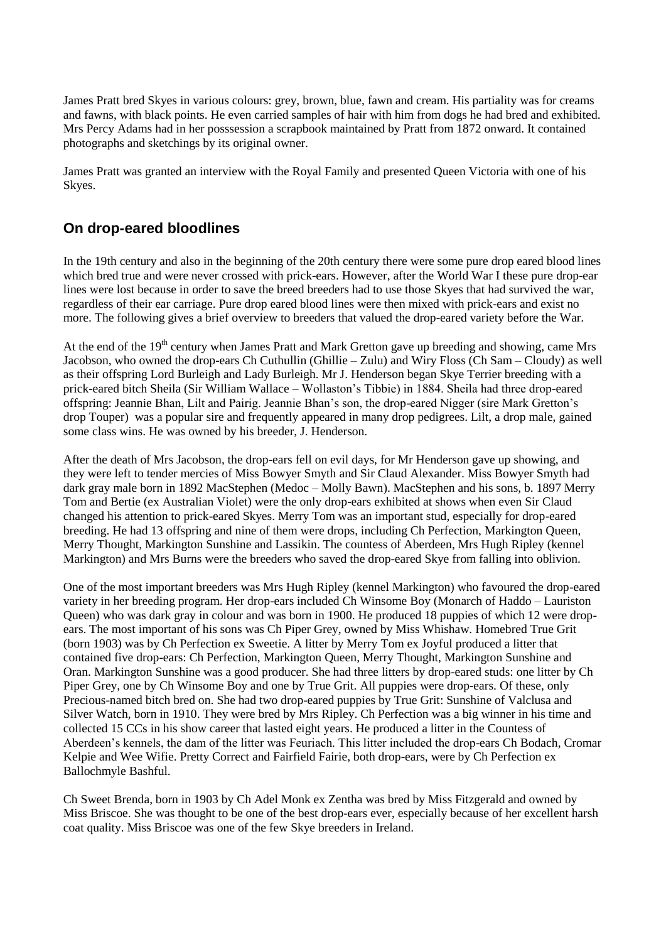James Pratt bred Skyes in various colours: grey, brown, blue, fawn and cream. His partiality was for creams and fawns, with black points. He even carried samples of hair with him from dogs he had bred and exhibited. Mrs Percy Adams had in her posssession a scrapbook maintained by Pratt from 1872 onward. It contained photographs and sketchings by its original owner.

James Pratt was granted an interview with the Royal Family and presented Queen Victoria with one of his Skyes.

### **On drop-eared bloodlines**

In the 19th century and also in the beginning of the 20th century there were some pure drop eared blood lines which bred true and were never crossed with prick-ears. However, after the World War I these pure drop-ear lines were lost because in order to save the breed breeders had to use those Skyes that had survived the war, regardless of their ear carriage. Pure drop eared blood lines were then mixed with prick-ears and exist no more. The following gives a brief overview to breeders that valued the drop-eared variety before the War.

At the end of the 19<sup>th</sup> century when James Pratt and Mark Gretton gave up breeding and showing, came Mrs Jacobson, who owned the drop-ears Ch Cuthullin (Ghillie – Zulu) and Wiry Floss (Ch Sam – Cloudy) as well as their offspring Lord Burleigh and Lady Burleigh. Mr J. Henderson began Skye Terrier breeding with a prick-eared bitch Sheila (Sir William Wallace – Wollaston's Tibbie) in 1884. Sheila had three drop-eared offspring: Jeannie Bhan, Lilt and Pairig. Jeannie Bhan's son, the drop-eared Nigger (sire Mark Gretton's drop Touper) was a popular sire and frequently appeared in many drop pedigrees. Lilt, a drop male, gained some class wins. He was owned by his breeder, J. Henderson.

After the death of Mrs Jacobson, the drop-ears fell on evil days, for Mr Henderson gave up showing, and they were left to tender mercies of Miss Bowyer Smyth and Sir Claud Alexander. Miss Bowyer Smyth had dark gray male born in 1892 MacStephen (Medoc – Molly Bawn). MacStephen and his sons, b. 1897 Merry Tom and Bertie (ex Australian Violet) were the only drop-ears exhibited at shows when even Sir Claud changed his attention to prick-eared Skyes. Merry Tom was an important stud, especially for drop-eared breeding. He had 13 offspring and nine of them were drops, including Ch Perfection, Markington Queen, Merry Thought, Markington Sunshine and Lassikin. The countess of Aberdeen, Mrs Hugh Ripley (kennel Markington) and Mrs Burns were the breeders who saved the drop-eared Skye from falling into oblivion.

One of the most important breeders was Mrs Hugh Ripley (kennel Markington) who favoured the drop-eared variety in her breeding program. Her drop-ears included Ch Winsome Boy (Monarch of Haddo – Lauriston Queen) who was dark gray in colour and was born in 1900. He produced 18 puppies of which 12 were dropears. The most important of his sons was Ch Piper Grey, owned by Miss Whishaw. Homebred True Grit (born 1903) was by Ch Perfection ex Sweetie. A litter by Merry Tom ex Joyful produced a litter that contained five drop-ears: Ch Perfection, Markington Queen, Merry Thought, Markington Sunshine and Oran. Markington Sunshine was a good producer. She had three litters by drop-eared studs: one litter by Ch Piper Grey, one by Ch Winsome Boy and one by True Grit. All puppies were drop-ears. Of these, only Precious-named bitch bred on. She had two drop-eared puppies by True Grit: Sunshine of Valclusa and Silver Watch, born in 1910. They were bred by Mrs Ripley. Ch Perfection was a big winner in his time and collected 15 CCs in his show career that lasted eight years. He produced a litter in the Countess of Aberdeen's kennels, the dam of the litter was Feuriach. This litter included the drop-ears Ch Bodach, Cromar Kelpie and Wee Wifie. Pretty Correct and Fairfield Fairie, both drop-ears, were by Ch Perfection ex Ballochmyle Bashful.

Ch Sweet Brenda, born in 1903 by Ch Adel Monk ex Zentha was bred by Miss Fitzgerald and owned by Miss Briscoe. She was thought to be one of the best drop-ears ever, especially because of her excellent harsh coat quality. Miss Briscoe was one of the few Skye breeders in Ireland.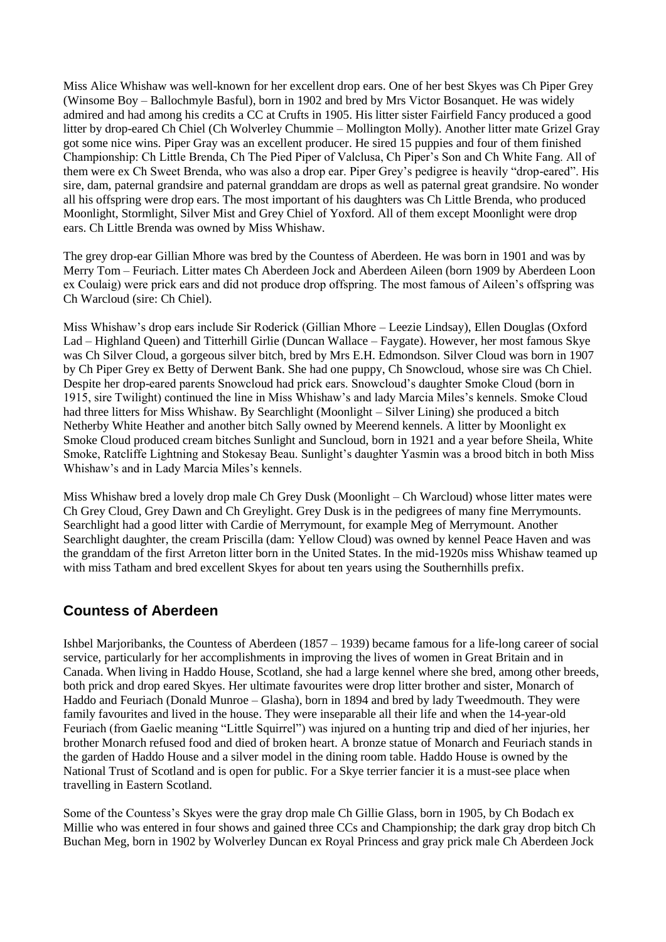Miss Alice Whishaw was well-known for her excellent drop ears. One of her best Skyes was Ch Piper Grey (Winsome Boy – Ballochmyle Basful), born in 1902 and bred by Mrs Victor Bosanquet. He was widely admired and had among his credits a CC at Crufts in 1905. His litter sister Fairfield Fancy produced a good litter by drop-eared Ch Chiel (Ch Wolverley Chummie – Mollington Molly). Another litter mate Grizel Gray got some nice wins. Piper Gray was an excellent producer. He sired 15 puppies and four of them finished Championship: Ch Little Brenda, Ch The Pied Piper of Valclusa, Ch Piper's Son and Ch White Fang. All of them were ex Ch Sweet Brenda, who was also a drop ear. Piper Grey's pedigree is heavily "drop-eared". His sire, dam, paternal grandsire and paternal granddam are drops as well as paternal great grandsire. No wonder all his offspring were drop ears. The most important of his daughters was Ch Little Brenda, who produced Moonlight, Stormlight, Silver Mist and Grey Chiel of Yoxford. All of them except Moonlight were drop ears. Ch Little Brenda was owned by Miss Whishaw.

The grey drop-ear Gillian Mhore was bred by the Countess of Aberdeen. He was born in 1901 and was by Merry Tom – Feuriach. Litter mates Ch Aberdeen Jock and Aberdeen Aileen (born 1909 by Aberdeen Loon ex Coulaig) were prick ears and did not produce drop offspring. The most famous of Aileen's offspring was Ch Warcloud (sire: Ch Chiel).

Miss Whishaw's drop ears include Sir Roderick (Gillian Mhore – Leezie Lindsay), Ellen Douglas (Oxford Lad – Highland Queen) and Titterhill Girlie (Duncan Wallace – Faygate). However, her most famous Skye was Ch Silver Cloud, a gorgeous silver bitch, bred by Mrs E.H. Edmondson. Silver Cloud was born in 1907 by Ch Piper Grey ex Betty of Derwent Bank. She had one puppy, Ch Snowcloud, whose sire was Ch Chiel. Despite her drop-eared parents Snowcloud had prick ears. Snowcloud's daughter Smoke Cloud (born in 1915, sire Twilight) continued the line in Miss Whishaw's and lady Marcia Miles's kennels. Smoke Cloud had three litters for Miss Whishaw. By Searchlight (Moonlight – Silver Lining) she produced a bitch Netherby White Heather and another bitch Sally owned by Meerend kennels. A litter by Moonlight ex Smoke Cloud produced cream bitches Sunlight and Suncloud, born in 1921 and a year before Sheila, White Smoke, Ratcliffe Lightning and Stokesay Beau. Sunlight's daughter Yasmin was a brood bitch in both Miss Whishaw's and in Lady Marcia Miles's kennels.

Miss Whishaw bred a lovely drop male Ch Grey Dusk (Moonlight – Ch Warcloud) whose litter mates were Ch Grey Cloud, Grey Dawn and Ch Greylight. Grey Dusk is in the pedigrees of many fine Merrymounts. Searchlight had a good litter with Cardie of Merrymount, for example Meg of Merrymount. Another Searchlight daughter, the cream Priscilla (dam: Yellow Cloud) was owned by kennel Peace Haven and was the granddam of the first Arreton litter born in the United States. In the mid-1920s miss Whishaw teamed up with miss Tatham and bred excellent Skyes for about ten years using the Southernhills prefix.

### **Countess of Aberdeen**

Ishbel Marjoribanks, the Countess of Aberdeen (1857 – 1939) became famous for a life-long career of social service, particularly for her accomplishments in improving the lives of women in Great Britain and in Canada. When living in Haddo House, Scotland, she had a large kennel where she bred, among other breeds, both prick and drop eared Skyes. Her ultimate favourites were drop litter brother and sister, Monarch of Haddo and Feuriach (Donald Munroe – Glasha), born in 1894 and bred by lady Tweedmouth. They were family favourites and lived in the house. They were inseparable all their life and when the 14-year-old Feuriach (from Gaelic meaning "Little Squirrel") was injured on a hunting trip and died of her injuries, her brother Monarch refused food and died of broken heart. A bronze statue of Monarch and Feuriach stands in the garden of Haddo House and a silver model in the dining room table. Haddo House is owned by the National Trust of Scotland and is open for public. For a Skye terrier fancier it is a must-see place when travelling in Eastern Scotland.

Some of the Countess's Skyes were the gray drop male Ch Gillie Glass, born in 1905, by Ch Bodach ex Millie who was entered in four shows and gained three CCs and Championship; the dark gray drop bitch Ch Buchan Meg, born in 1902 by Wolverley Duncan ex Royal Princess and gray prick male Ch Aberdeen Jock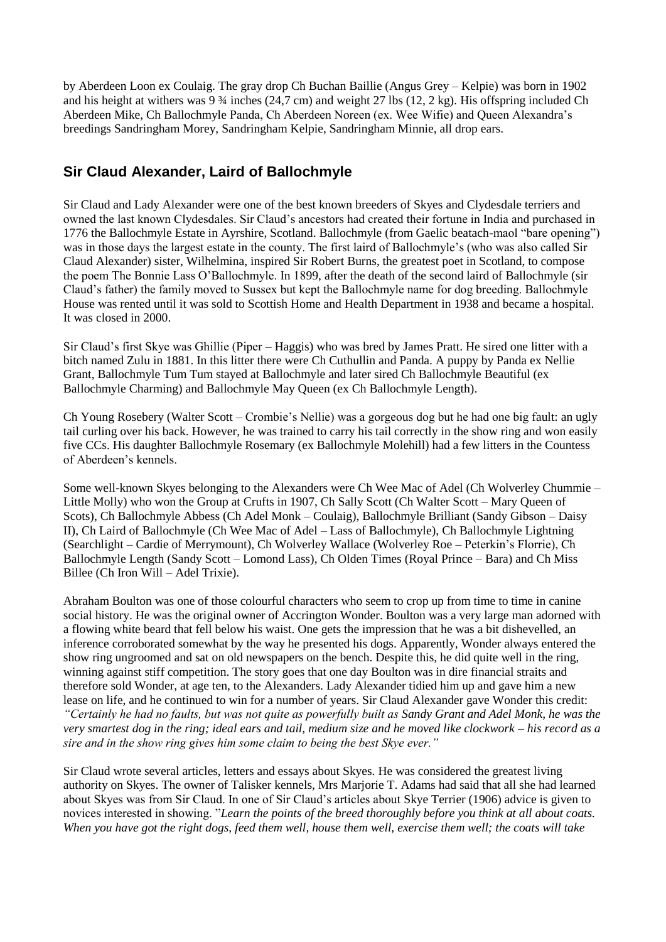by Aberdeen Loon ex Coulaig. The gray drop Ch Buchan Baillie (Angus Grey – Kelpie) was born in 1902 and his height at withers was  $9\frac{3}{4}$  inches (24,7 cm) and weight 27 lbs (12, 2 kg). His offspring included Ch Aberdeen Mike, Ch Ballochmyle Panda, Ch Aberdeen Noreen (ex. Wee Wifie) and Queen Alexandra's breedings Sandringham Morey, Sandringham Kelpie, Sandringham Minnie, all drop ears.

# **Sir Claud Alexander, Laird of Ballochmyle**

Sir Claud and Lady Alexander were one of the best known breeders of Skyes and Clydesdale terriers and owned the last known Clydesdales. Sir Claud's ancestors had created their fortune in India and purchased in 1776 the Ballochmyle Estate in Ayrshire, Scotland. Ballochmyle (from Gaelic beatach-maol "bare opening") was in those days the largest estate in the county. The first laird of Ballochmyle's (who was also called Sir Claud Alexander) sister, Wilhelmina, inspired Sir Robert Burns, the greatest poet in Scotland, to compose the poem The Bonnie Lass O'Ballochmyle. In 1899, after the death of the second laird of Ballochmyle (sir Claud's father) the family moved to Sussex but kept the Ballochmyle name for dog breeding. Ballochmyle House was rented until it was sold to Scottish Home and Health Department in 1938 and became a hospital. It was closed in 2000.

Sir Claud's first Skye was Ghillie (Piper – Haggis) who was bred by James Pratt. He sired one litter with a bitch named Zulu in 1881. In this litter there were Ch Cuthullin and Panda. A puppy by Panda ex Nellie Grant, Ballochmyle Tum Tum stayed at Ballochmyle and later sired Ch Ballochmyle Beautiful (ex Ballochmyle Charming) and Ballochmyle May Queen (ex Ch Ballochmyle Length).

Ch Young Rosebery (Walter Scott – Crombie's Nellie) was a gorgeous dog but he had one big fault: an ugly tail curling over his back. However, he was trained to carry his tail correctly in the show ring and won easily five CCs. His daughter Ballochmyle Rosemary (ex Ballochmyle Molehill) had a few litters in the Countess of Aberdeen's kennels.

Some well-known Skyes belonging to the Alexanders were Ch Wee Mac of Adel (Ch Wolverley Chummie – Little Molly) who won the Group at Crufts in 1907, Ch Sally Scott (Ch Walter Scott – Mary Queen of Scots), Ch Ballochmyle Abbess (Ch Adel Monk – Coulaig), Ballochmyle Brilliant (Sandy Gibson – Daisy II), Ch Laird of Ballochmyle (Ch Wee Mac of Adel – Lass of Ballochmyle), Ch Ballochmyle Lightning (Searchlight – Cardie of Merrymount), Ch Wolverley Wallace (Wolverley Roe – Peterkin's Florrie), Ch Ballochmyle Length (Sandy Scott – Lomond Lass), Ch Olden Times (Royal Prince – Bara) and Ch Miss Billee (Ch Iron Will – Adel Trixie).

Abraham Boulton was one of those colourful characters who seem to crop up from time to time in canine social history. He was the original owner of Accrington Wonder. Boulton was a very large man adorned with a flowing white beard that fell below his waist. One gets the impression that he was a bit dishevelled, an inference corroborated somewhat by the way he presented his dogs. Apparently, Wonder always entered the show ring ungroomed and sat on old newspapers on the bench. Despite this, he did quite well in the ring, winning against stiff competition. The story goes that one day Boulton was in dire financial straits and therefore sold Wonder, at age ten, to the Alexanders. Lady Alexander tidied him up and gave him a new lease on life, and he continued to win for a number of years. Sir Claud Alexander gave Wonder this credit: *"Certainly he had no faults, but was not quite as powerfully built as Sandy Grant and Adel Monk, he was the very smartest dog in the ring; ideal ears and tail, medium size and he moved like clockwork – his record as a sire and in the show ring gives him some claim to being the best Skye ever."*

Sir Claud wrote several articles, letters and essays about Skyes. He was considered the greatest living authority on Skyes. The owner of Talisker kennels, Mrs Marjorie T. Adams had said that all she had learned about Skyes was from Sir Claud. In one of Sir Claud's articles about Skye Terrier (1906) advice is given to novices interested in showing. "*Learn the points of the breed thoroughly before you think at all about coats. When you have got the right dogs, feed them well, house them well, exercise them well; the coats will take*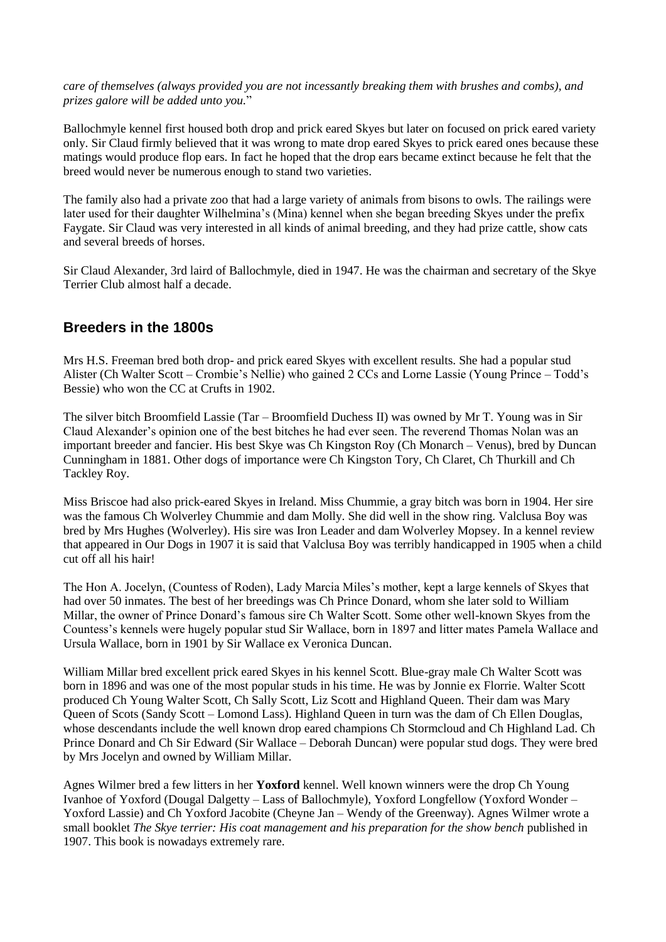*care of themselves (always provided you are not incessantly breaking them with brushes and combs), and prizes galore will be added unto you.*"

Ballochmyle kennel first housed both drop and prick eared Skyes but later on focused on prick eared variety only. Sir Claud firmly believed that it was wrong to mate drop eared Skyes to prick eared ones because these matings would produce flop ears. In fact he hoped that the drop ears became extinct because he felt that the breed would never be numerous enough to stand two varieties.

The family also had a private zoo that had a large variety of animals from bisons to owls. The railings were later used for their daughter Wilhelmina's (Mina) kennel when she began breeding Skyes under the prefix Faygate. Sir Claud was very interested in all kinds of animal breeding, and they had prize cattle, show cats and several breeds of horses.

Sir Claud Alexander, 3rd laird of Ballochmyle, died in 1947. He was the chairman and secretary of the Skye Terrier Club almost half a decade.

### **Breeders in the 1800s**

Mrs H.S. Freeman bred both drop- and prick eared Skyes with excellent results. She had a popular stud Alister (Ch Walter Scott – Crombie's Nellie) who gained 2 CCs and Lorne Lassie (Young Prince – Todd's Bessie) who won the CC at Crufts in 1902.

The silver bitch Broomfield Lassie (Tar – Broomfield Duchess II) was owned by Mr T. Young was in Sir Claud Alexander's opinion one of the best bitches he had ever seen. The reverend Thomas Nolan was an important breeder and fancier. His best Skye was Ch Kingston Roy (Ch Monarch – Venus), bred by Duncan Cunningham in 1881. Other dogs of importance were Ch Kingston Tory, Ch Claret, Ch Thurkill and Ch Tackley Roy.

Miss Briscoe had also prick-eared Skyes in Ireland. Miss Chummie, a gray bitch was born in 1904. Her sire was the famous Ch Wolverley Chummie and dam Molly. She did well in the show ring. Valclusa Boy was bred by Mrs Hughes (Wolverley). His sire was Iron Leader and dam Wolverley Mopsey. In a kennel review that appeared in Our Dogs in 1907 it is said that Valclusa Boy was terribly handicapped in 1905 when a child cut off all his hair!

The Hon A. Jocelyn, (Countess of Roden), Lady Marcia Miles's mother, kept a large kennels of Skyes that had over 50 inmates. The best of her breedings was Ch Prince Donard, whom she later sold to William Millar, the owner of Prince Donard's famous sire Ch Walter Scott. Some other well-known Skyes from the Countess's kennels were hugely popular stud Sir Wallace, born in 1897 and litter mates Pamela Wallace and Ursula Wallace, born in 1901 by Sir Wallace ex Veronica Duncan.

William Millar bred excellent prick eared Skyes in his kennel Scott. Blue-gray male Ch Walter Scott was born in 1896 and was one of the most popular studs in his time. He was by Jonnie ex Florrie. Walter Scott produced Ch Young Walter Scott, Ch Sally Scott, Liz Scott and Highland Queen. Their dam was Mary Queen of Scots (Sandy Scott – Lomond Lass). Highland Queen in turn was the dam of Ch Ellen Douglas, whose descendants include the well known drop eared champions Ch Stormcloud and Ch Highland Lad. Ch Prince Donard and Ch Sir Edward (Sir Wallace – Deborah Duncan) were popular stud dogs. They were bred by Mrs Jocelyn and owned by William Millar.

Agnes Wilmer bred a few litters in her **Yoxford** kennel. Well known winners were the drop Ch Young Ivanhoe of Yoxford (Dougal Dalgetty – Lass of Ballochmyle), Yoxford Longfellow (Yoxford Wonder – Yoxford Lassie) and Ch Yoxford Jacobite (Cheyne Jan – Wendy of the Greenway). Agnes Wilmer wrote a small booklet *The Skye terrier: His coat management and his preparation for the show bench* published in 1907. This book is nowadays extremely rare.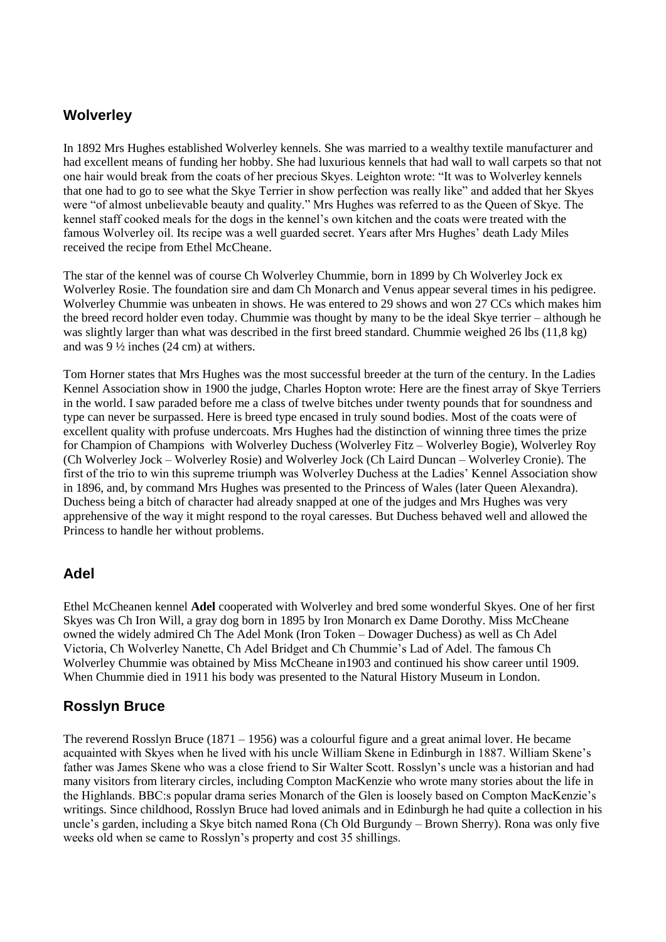# **Wolverley**

In 1892 Mrs Hughes established Wolverley kennels. She was married to a wealthy textile manufacturer and had excellent means of funding her hobby. She had luxurious kennels that had wall to wall carpets so that not one hair would break from the coats of her precious Skyes. Leighton wrote: "It was to Wolverley kennels that one had to go to see what the Skye Terrier in show perfection was really like" and added that her Skyes were "of almost unbelievable beauty and quality." Mrs Hughes was referred to as the Queen of Skye. The kennel staff cooked meals for the dogs in the kennel's own kitchen and the coats were treated with the famous Wolverley oil. Its recipe was a well guarded secret. Years after Mrs Hughes' death Lady Miles received the recipe from Ethel McCheane.

The star of the kennel was of course Ch Wolverley Chummie, born in 1899 by Ch Wolverley Jock ex Wolverley Rosie. The foundation sire and dam Ch Monarch and Venus appear several times in his pedigree. Wolverley Chummie was unbeaten in shows. He was entered to 29 shows and won 27 CCs which makes him the breed record holder even today. Chummie was thought by many to be the ideal Skye terrier – although he was slightly larger than what was described in the first breed standard. Chummie weighed 26 lbs (11,8 kg) and was 9 ½ inches (24 cm) at withers.

Tom Horner states that Mrs Hughes was the most successful breeder at the turn of the century. In the Ladies Kennel Association show in 1900 the judge, Charles Hopton wrote: Here are the finest array of Skye Terriers in the world. I saw paraded before me a class of twelve bitches under twenty pounds that for soundness and type can never be surpassed. Here is breed type encased in truly sound bodies. Most of the coats were of excellent quality with profuse undercoats. Mrs Hughes had the distinction of winning three times the prize for Champion of Champions with Wolverley Duchess (Wolverley Fitz – Wolverley Bogie), Wolverley Roy (Ch Wolverley Jock – Wolverley Rosie) and Wolverley Jock (Ch Laird Duncan – Wolverley Cronie). The first of the trio to win this supreme triumph was Wolverley Duchess at the Ladies' Kennel Association show in 1896, and, by command Mrs Hughes was presented to the Princess of Wales (later Queen Alexandra). Duchess being a bitch of character had already snapped at one of the judges and Mrs Hughes was very apprehensive of the way it might respond to the royal caresses. But Duchess behaved well and allowed the Princess to handle her without problems.

# **Adel**

Ethel McCheanen kennel **Adel** cooperated with Wolverley and bred some wonderful Skyes. One of her first Skyes was Ch Iron Will, a gray dog born in 1895 by Iron Monarch ex Dame Dorothy. Miss McCheane owned the widely admired Ch The Adel Monk (Iron Token – Dowager Duchess) as well as Ch Adel Victoria, Ch Wolverley Nanette, Ch Adel Bridget and Ch Chummie's Lad of Adel. The famous Ch Wolverley Chummie was obtained by Miss McCheane in1903 and continued his show career until 1909. When Chummie died in 1911 his body was presented to the Natural History Museum in London.

# **Rosslyn Bruce**

The reverend Rosslyn Bruce (1871 – 1956) was a colourful figure and a great animal lover. He became acquainted with Skyes when he lived with his uncle William Skene in Edinburgh in 1887. William Skene's father was James Skene who was a close friend to Sir Walter Scott. Rosslyn's uncle was a historian and had many visitors from literary circles, including Compton MacKenzie who wrote many stories about the life in the Highlands. BBC:s popular drama series Monarch of the Glen is loosely based on Compton MacKenzie's writings. Since childhood, Rosslyn Bruce had loved animals and in Edinburgh he had quite a collection in his uncle's garden, including a Skye bitch named Rona (Ch Old Burgundy – Brown Sherry). Rona was only five weeks old when se came to Rosslyn's property and cost 35 shillings.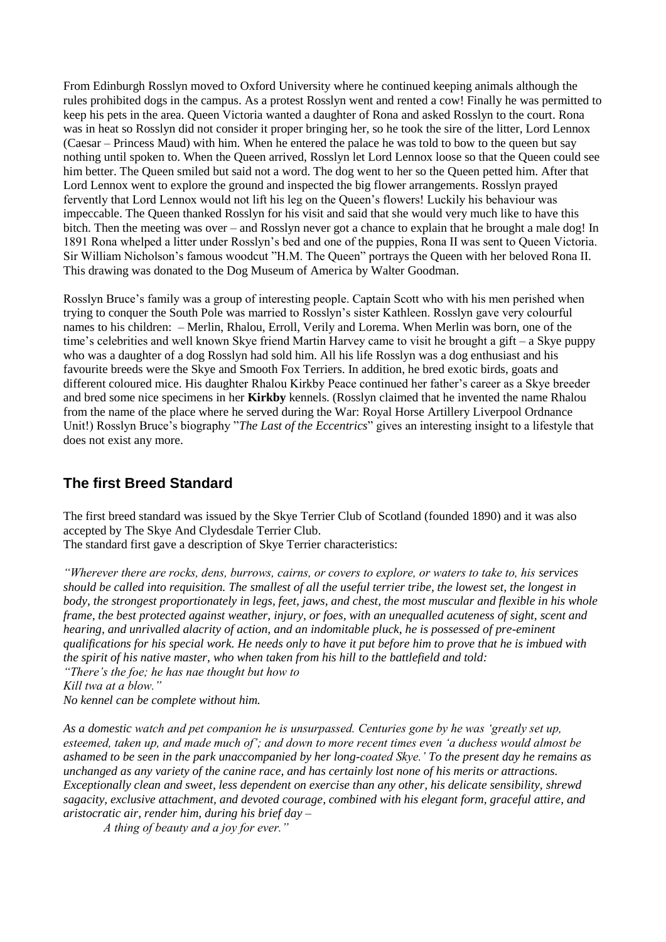From Edinburgh Rosslyn moved to Oxford University where he continued keeping animals although the rules prohibited dogs in the campus. As a protest Rosslyn went and rented a cow! Finally he was permitted to keep his pets in the area. Queen Victoria wanted a daughter of Rona and asked Rosslyn to the court. Rona was in heat so Rosslyn did not consider it proper bringing her, so he took the sire of the litter, Lord Lennox (Caesar – Princess Maud) with him. When he entered the palace he was told to bow to the queen but say nothing until spoken to. When the Queen arrived, Rosslyn let Lord Lennox loose so that the Queen could see him better. The Queen smiled but said not a word. The dog went to her so the Queen petted him. After that Lord Lennox went to explore the ground and inspected the big flower arrangements. Rosslyn prayed fervently that Lord Lennox would not lift his leg on the Queen's flowers! Luckily his behaviour was impeccable. The Queen thanked Rosslyn for his visit and said that she would very much like to have this bitch. Then the meeting was over – and Rosslyn never got a chance to explain that he brought a male dog! In 1891 Rona whelped a litter under Rosslyn's bed and one of the puppies, Rona II was sent to Queen Victoria. Sir William Nicholson's famous woodcut "H.M. The Queen" portrays the Queen with her beloved Rona II. This drawing was donated to the Dog Museum of America by Walter Goodman.

Rosslyn Bruce's family was a group of interesting people. Captain Scott who with his men perished when trying to conquer the South Pole was married to Rosslyn's sister Kathleen. Rosslyn gave very colourful names to his children: – Merlin, Rhalou, Erroll, Verily and Lorema. When Merlin was born, one of the time's celebrities and well known Skye friend Martin Harvey came to visit he brought a gift – a Skye puppy who was a daughter of a dog Rosslyn had sold him. All his life Rosslyn was a dog enthusiast and his favourite breeds were the Skye and Smooth Fox Terriers. In addition, he bred exotic birds, goats and different coloured mice. His daughter Rhalou Kirkby Peace continued her father's career as a Skye breeder and bred some nice specimens in her **Kirkby** kennels. (Rosslyn claimed that he invented the name Rhalou from the name of the place where he served during the War: Royal Horse Artillery Liverpool Ordnance Unit!) Rosslyn Bruce's biography "*The Last of the Eccentrics*" gives an interesting insight to a lifestyle that does not exist any more.

### **The first Breed Standard**

The first breed standard was issued by the Skye Terrier Club of Scotland (founded 1890) and it was also accepted by The Skye And Clydesdale Terrier Club.

The standard first gave a description of Skye Terrier characteristics:

*"Wherever there are rocks, dens, burrows, cairns, or covers to explore, or waters to take to, his services should be called into requisition. The smallest of all the useful terrier tribe, the lowest set, the longest in body, the strongest proportionately in legs, feet, jaws, and chest, the most muscular and flexible in his whole frame, the best protected against weather, injury, or foes, with an unequalled acuteness of sight, scent and hearing, and unrivalled alacrity of action, and an indomitable pluck, he is possessed of pre-eminent qualifications for his special work. He needs only to have it put before him to prove that he is imbued with the spirit of his native master, who when taken from his hill to the battlefield and told: "There's the foe; he has nae thought but how to*

*Kill twa at a blow."*

*No kennel can be complete without him.*

*As a domestic watch and pet companion he is unsurpassed. Centuries gone by he was 'greatly set up, esteemed, taken up, and made much of'; and down to more recent times even 'a duchess would almost be ashamed to be seen in the park unaccompanied by her long-coated Skye.' To the present day he remains as unchanged as any variety of the canine race, and has certainly lost none of his merits or attractions. Exceptionally clean and sweet, less dependent on exercise than any other, his delicate sensibility, shrewd sagacity, exclusive attachment, and devoted courage, combined with his elegant form, graceful attire, and aristocratic air, render him, during his brief day –*

*A thing of beauty and a joy for ever."*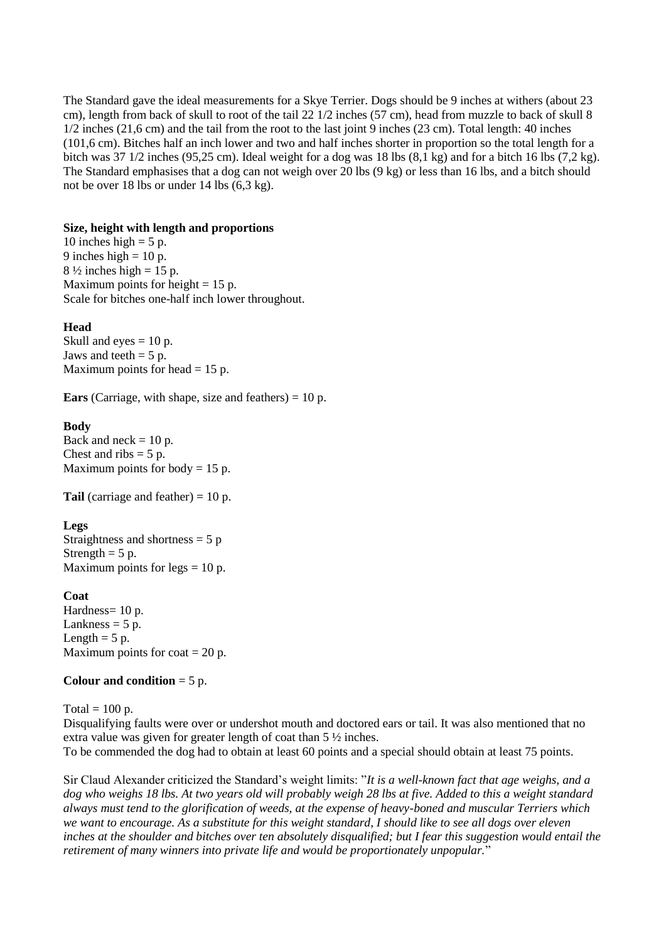The Standard gave the ideal measurements for a Skye Terrier. Dogs should be 9 inches at withers (about 23 cm), length from back of skull to root of the tail 22 1/2 inches (57 cm), head from muzzle to back of skull 8 1/2 inches (21,6 cm) and the tail from the root to the last joint 9 inches (23 cm). Total length: 40 inches (101,6 cm). Bitches half an inch lower and two and half inches shorter in proportion so the total length for a bitch was 37 1/2 inches (95,25 cm). Ideal weight for a dog was 18 lbs (8,1 kg) and for a bitch 16 lbs (7,2 kg). The Standard emphasises that a dog can not weigh over 20 lbs (9 kg) or less than 16 lbs, and a bitch should not be over 18 lbs or under 14 lbs (6,3 kg).

#### **Size, height with length and proportions**

10 inches high  $= 5$  p. 9 inches high  $= 10$  p.  $8\frac{1}{2}$  inches high = 15 p. Maximum points for height  $= 15$  p. Scale for bitches one-half inch lower throughout.

#### **Head**

Skull and eyes  $= 10$  p. Jaws and teeth  $= 5$  p. Maximum points for head  $= 15$  p.

**Ears** (Carriage, with shape, size and feathers) = 10 p.

#### **Body**

Back and neck  $= 10$  p. Chest and ribs  $= 5$  p. Maximum points for body  $= 15$  p.

**Tail** (carriage and feather) = 10 p.

#### **Legs**

Straightness and shortness  $= 5 p$ Strength  $= 5$  p. Maximum points for legs  $= 10$  p.

#### **Coat**

Hardness= 10 p. Lankness  $= 5$  p. Length  $= 5$  p. Maximum points for  $\text{cot} = 20 \text{ p}$ .

#### **Colour and condition** = 5 p.

Total  $= 100$  p.

Disqualifying faults were over or undershot mouth and doctored ears or tail. It was also mentioned that no extra value was given for greater length of coat than 5 ½ inches. To be commended the dog had to obtain at least 60 points and a special should obtain at least 75 points.

Sir Claud Alexander criticized the Standard's weight limits: "*It is a well-known fact that age weighs, and a dog who weighs 18 lbs. At two years old will probably weigh 28 lbs at five. Added to this a weight standard always must tend to the glorification of weeds, at the expense of heavy-boned and muscular Terriers which we want to encourage. As a substitute for this weight standard, I should like to see all dogs over eleven inches at the shoulder and bitches over ten absolutely disqualified; but I fear this suggestion would entail the retirement of many winners into private life and would be proportionately unpopular.*"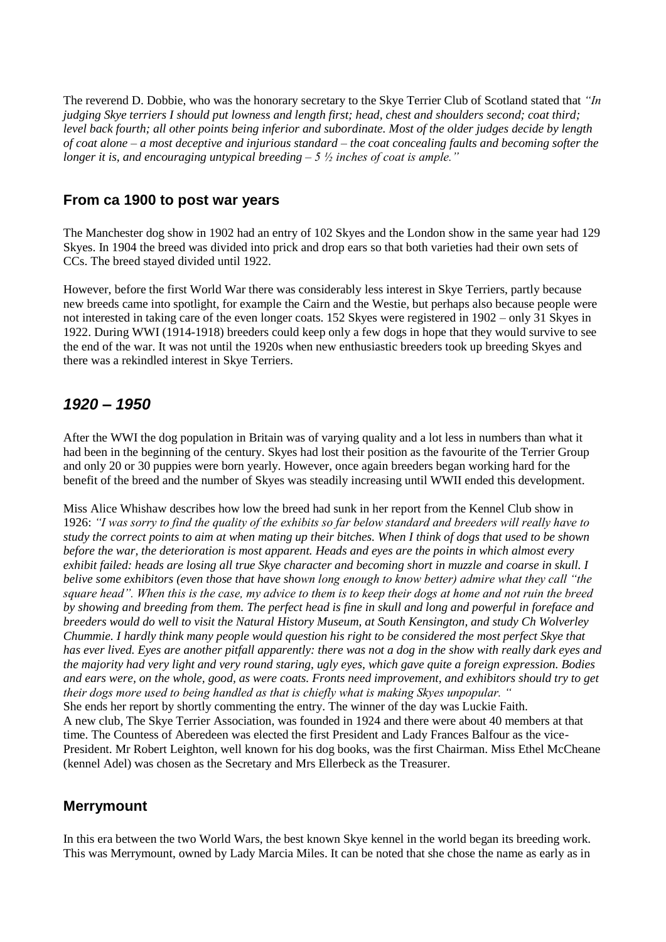The reverend D. Dobbie, who was the honorary secretary to the Skye Terrier Club of Scotland stated that *"In judging Skye terriers I should put lowness and length first; head, chest and shoulders second; coat third; level back fourth; all other points being inferior and subordinate. Most of the older judges decide by length of coat alone – a most deceptive and injurious standard – the coat concealing faults and becoming softer the longer it is, and encouraging untypical breeding – 5 ½ inches of coat is ample."*

### **From ca 1900 to post war years**

The Manchester dog show in 1902 had an entry of 102 Skyes and the London show in the same year had 129 Skyes. In 1904 the breed was divided into prick and drop ears so that both varieties had their own sets of CCs. The breed stayed divided until 1922.

However, before the first World War there was considerably less interest in Skye Terriers, partly because new breeds came into spotlight, for example the Cairn and the Westie, but perhaps also because people were not interested in taking care of the even longer coats. 152 Skyes were registered in 1902 – only 31 Skyes in 1922. During WWI (1914-1918) breeders could keep only a few dogs in hope that they would survive to see the end of the war. It was not until the 1920s when new enthusiastic breeders took up breeding Skyes and there was a rekindled interest in Skye Terriers.

### *1920 – 1950*

After the WWI the dog population in Britain was of varying quality and a lot less in numbers than what it had been in the beginning of the century. Skyes had lost their position as the favourite of the Terrier Group and only 20 or 30 puppies were born yearly. However, once again breeders began working hard for the benefit of the breed and the number of Skyes was steadily increasing until WWII ended this development.

Miss Alice Whishaw describes how low the breed had sunk in her report from the Kennel Club show in 1926: *"I was sorry to find the quality of the exhibits so far below standard and breeders will really have to study the correct points to aim at when mating up their bitches. When I think of dogs that used to be shown before the war, the deterioration is most apparent. Heads and eyes are the points in which almost every exhibit failed: heads are losing all true Skye character and becoming short in muzzle and coarse in skull. I belive some exhibitors (even those that have shown long enough to know better) admire what they call "the square head". When this is the case, my advice to them is to keep their dogs at home and not ruin the breed by showing and breeding from them. The perfect head is fine in skull and long and powerful in foreface and breeders would do well to visit the Natural History Museum, at South Kensington, and study Ch Wolverley Chummie. I hardly think many people would question his right to be considered the most perfect Skye that has ever lived. Eyes are another pitfall apparently: there was not a dog in the show with really dark eyes and the majority had very light and very round staring, ugly eyes, which gave quite a foreign expression. Bodies and ears were, on the whole, good, as were coats. Fronts need improvement, and exhibitors should try to get their dogs more used to being handled as that is chiefly what is making Skyes unpopular. "* She ends her report by shortly commenting the entry. The winner of the day was Luckie Faith. A new club, The Skye Terrier Association, was founded in 1924 and there were about 40 members at that time. The Countess of Aberedeen was elected the first President and Lady Frances Balfour as the vice-President. Mr Robert Leighton, well known for his dog books, was the first Chairman. Miss Ethel McCheane

### **Merrymount**

In this era between the two World Wars, the best known Skye kennel in the world began its breeding work. This was Merrymount, owned by Lady Marcia Miles. It can be noted that she chose the name as early as in

(kennel Adel) was chosen as the Secretary and Mrs Ellerbeck as the Treasurer.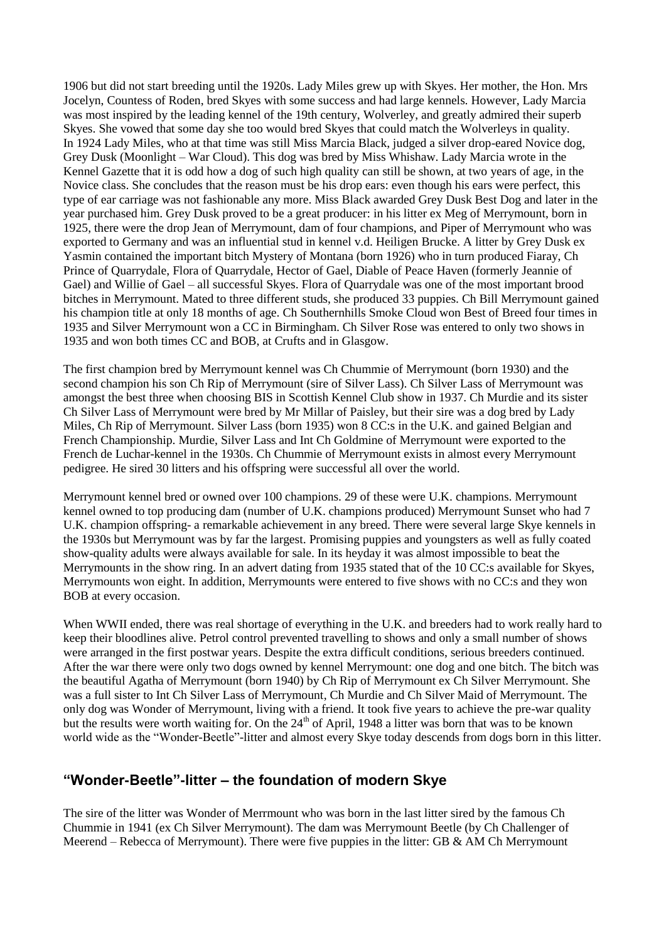1906 but did not start breeding until the 1920s. Lady Miles grew up with Skyes. Her mother, the Hon. Mrs Jocelyn, Countess of Roden, bred Skyes with some success and had large kennels. However, Lady Marcia was most inspired by the leading kennel of the 19th century, Wolverley, and greatly admired their superb Skyes. She vowed that some day she too would bred Skyes that could match the Wolverleys in quality. In 1924 Lady Miles, who at that time was still Miss Marcia Black, judged a silver drop-eared Novice dog, Grey Dusk (Moonlight – War Cloud). This dog was bred by Miss Whishaw. Lady Marcia wrote in the Kennel Gazette that it is odd how a dog of such high quality can still be shown, at two years of age, in the Novice class. She concludes that the reason must be his drop ears: even though his ears were perfect, this type of ear carriage was not fashionable any more. Miss Black awarded Grey Dusk Best Dog and later in the year purchased him. Grey Dusk proved to be a great producer: in his litter ex Meg of Merrymount, born in 1925, there were the drop Jean of Merrymount, dam of four champions, and Piper of Merrymount who was exported to Germany and was an influential stud in kennel v.d. Heiligen Brucke. A litter by Grey Dusk ex Yasmin contained the important bitch Mystery of Montana (born 1926) who in turn produced Fiaray, Ch Prince of Quarrydale, Flora of Quarrydale, Hector of Gael, Diable of Peace Haven (formerly Jeannie of Gael) and Willie of Gael – all successful Skyes. Flora of Quarrydale was one of the most important brood bitches in Merrymount. Mated to three different studs, she produced 33 puppies. Ch Bill Merrymount gained his champion title at only 18 months of age. Ch Southernhills Smoke Cloud won Best of Breed four times in 1935 and Silver Merrymount won a CC in Birmingham. Ch Silver Rose was entered to only two shows in 1935 and won both times CC and BOB, at Crufts and in Glasgow.

The first champion bred by Merrymount kennel was Ch Chummie of Merrymount (born 1930) and the second champion his son Ch Rip of Merrymount (sire of Silver Lass). Ch Silver Lass of Merrymount was amongst the best three when choosing BIS in Scottish Kennel Club show in 1937. Ch Murdie and its sister Ch Silver Lass of Merrymount were bred by Mr Millar of Paisley, but their sire was a dog bred by Lady Miles, Ch Rip of Merrymount. Silver Lass (born 1935) won 8 CC:s in the U.K. and gained Belgian and French Championship. Murdie, Silver Lass and Int Ch Goldmine of Merrymount were exported to the French de Luchar-kennel in the 1930s. Ch Chummie of Merrymount exists in almost every Merrymount pedigree. He sired 30 litters and his offspring were successful all over the world.

Merrymount kennel bred or owned over 100 champions. 29 of these were U.K. champions. Merrymount kennel owned to top producing dam (number of U.K. champions produced) Merrymount Sunset who had 7 U.K. champion offspring- a remarkable achievement in any breed. There were several large Skye kennels in the 1930s but Merrymount was by far the largest. Promising puppies and youngsters as well as fully coated show-quality adults were always available for sale. In its heyday it was almost impossible to beat the Merrymounts in the show ring. In an advert dating from 1935 stated that of the 10 CC:s available for Skyes, Merrymounts won eight. In addition, Merrymounts were entered to five shows with no CC:s and they won BOB at every occasion.

When WWII ended, there was real shortage of everything in the U.K. and breeders had to work really hard to keep their bloodlines alive. Petrol control prevented travelling to shows and only a small number of shows were arranged in the first postwar years. Despite the extra difficult conditions, serious breeders continued. After the war there were only two dogs owned by kennel Merrymount: one dog and one bitch. The bitch was the beautiful Agatha of Merrymount (born 1940) by Ch Rip of Merrymount ex Ch Silver Merrymount. She was a full sister to Int Ch Silver Lass of Merrymount, Ch Murdie and Ch Silver Maid of Merrymount. The only dog was Wonder of Merrymount, living with a friend. It took five years to achieve the pre-war quality but the results were worth waiting for. On the 24<sup>th</sup> of April, 1948 a litter was born that was to be known world wide as the "Wonder-Beetle"-litter and almost every Skye today descends from dogs born in this litter.

### **"Wonder-Beetle"-litter – the foundation of modern Skye**

The sire of the litter was Wonder of Merrmount who was born in the last litter sired by the famous Ch Chummie in 1941 (ex Ch Silver Merrymount). The dam was Merrymount Beetle (by Ch Challenger of Meerend – Rebecca of Merrymount). There were five puppies in the litter: GB & AM Ch Merrymount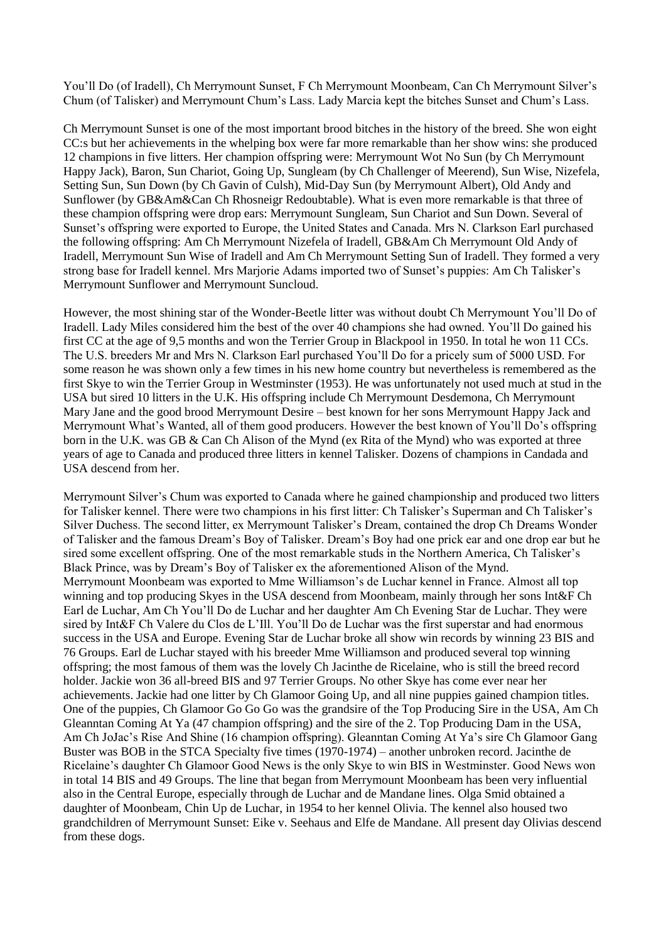You'll Do (of Iradell), Ch Merrymount Sunset, F Ch Merrymount Moonbeam, Can Ch Merrymount Silver's Chum (of Talisker) and Merrymount Chum's Lass. Lady Marcia kept the bitches Sunset and Chum's Lass.

Ch Merrymount Sunset is one of the most important brood bitches in the history of the breed. She won eight CC:s but her achievements in the whelping box were far more remarkable than her show wins: she produced 12 champions in five litters. Her champion offspring were: Merrymount Wot No Sun (by Ch Merrymount Happy Jack), Baron, Sun Chariot, Going Up, Sungleam (by Ch Challenger of Meerend), Sun Wise, Nizefela, Setting Sun, Sun Down (by Ch Gavin of Culsh), Mid-Day Sun (by Merrymount Albert), Old Andy and Sunflower (by GB&Am&Can Ch Rhosneigr Redoubtable). What is even more remarkable is that three of these champion offspring were drop ears: Merrymount Sungleam, Sun Chariot and Sun Down. Several of Sunset's offspring were exported to Europe, the United States and Canada. Mrs N. Clarkson Earl purchased the following offspring: Am Ch Merrymount Nizefela of Iradell, GB&Am Ch Merrymount Old Andy of Iradell, Merrymount Sun Wise of Iradell and Am Ch Merrymount Setting Sun of Iradell. They formed a very strong base for Iradell kennel. Mrs Marjorie Adams imported two of Sunset's puppies: Am Ch Talisker's Merrymount Sunflower and Merrymount Suncloud.

However, the most shining star of the Wonder-Beetle litter was without doubt Ch Merrymount You'll Do of Iradell. Lady Miles considered him the best of the over 40 champions she had owned. You'll Do gained his first CC at the age of 9,5 months and won the Terrier Group in Blackpool in 1950. In total he won 11 CCs. The U.S. breeders Mr and Mrs N. Clarkson Earl purchased You'll Do for a pricely sum of 5000 USD. For some reason he was shown only a few times in his new home country but nevertheless is remembered as the first Skye to win the Terrier Group in Westminster (1953). He was unfortunately not used much at stud in the USA but sired 10 litters in the U.K. His offspring include Ch Merrymount Desdemona, Ch Merrymount Mary Jane and the good brood Merrymount Desire – best known for her sons Merrymount Happy Jack and Merrymount What's Wanted, all of them good producers. However the best known of You'll Do's offspring born in the U.K. was GB & Can Ch Alison of the Mynd (ex Rita of the Mynd) who was exported at three years of age to Canada and produced three litters in kennel Talisker. Dozens of champions in Candada and USA descend from her.

Merrymount Silver's Chum was exported to Canada where he gained championship and produced two litters for Talisker kennel. There were two champions in his first litter: Ch Talisker's Superman and Ch Talisker's Silver Duchess. The second litter, ex Merrymount Talisker's Dream, contained the drop Ch Dreams Wonder of Talisker and the famous Dream's Boy of Talisker. Dream's Boy had one prick ear and one drop ear but he sired some excellent offspring. One of the most remarkable studs in the Northern America, Ch Talisker's Black Prince, was by Dream's Boy of Talisker ex the aforementioned Alison of the Mynd. Merrymount Moonbeam was exported to Mme Williamson's de Luchar kennel in France. Almost all top winning and top producing Skyes in the USA descend from Moonbeam, mainly through her sons Int&F Ch Earl de Luchar, Am Ch You'll Do de Luchar and her daughter Am Ch Evening Star de Luchar. They were sired by Int&F Ch Valere du Clos de L'Ill. You'll Do de Luchar was the first superstar and had enormous success in the USA and Europe. Evening Star de Luchar broke all show win records by winning 23 BIS and 76 Groups. Earl de Luchar stayed with his breeder Mme Williamson and produced several top winning offspring; the most famous of them was the lovely Ch Jacinthe de Ricelaine, who is still the breed record holder. Jackie won 36 all-breed BIS and 97 Terrier Groups. No other Skye has come ever near her achievements. Jackie had one litter by Ch Glamoor Going Up, and all nine puppies gained champion titles. One of the puppies, Ch Glamoor Go Go Go was the grandsire of the Top Producing Sire in the USA, Am Ch Gleanntan Coming At Ya (47 champion offspring) and the sire of the 2. Top Producing Dam in the USA, Am Ch JoJac's Rise And Shine (16 champion offspring). Gleanntan Coming At Ya's sire Ch Glamoor Gang Buster was BOB in the STCA Specialty five times (1970-1974) – another unbroken record. Jacinthe de Ricelaine's daughter Ch Glamoor Good News is the only Skye to win BIS in Westminster. Good News won in total 14 BIS and 49 Groups. The line that began from Merrymount Moonbeam has been very influential also in the Central Europe, especially through de Luchar and de Mandane lines. Olga Smid obtained a daughter of Moonbeam, Chin Up de Luchar, in 1954 to her kennel Olivia. The kennel also housed two grandchildren of Merrymount Sunset: Eike v. Seehaus and Elfe de Mandane. All present day Olivias descend from these dogs.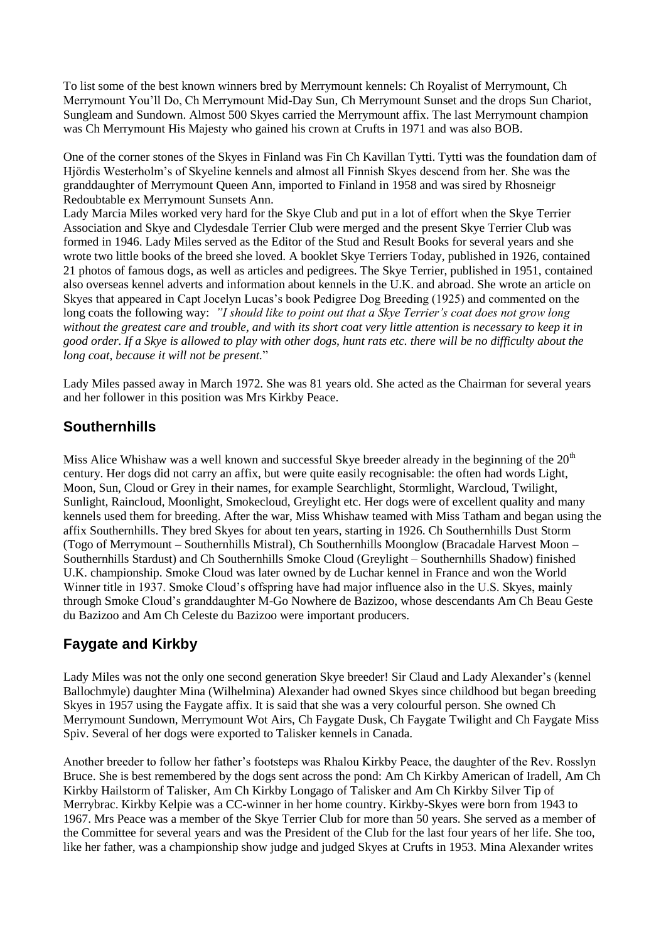To list some of the best known winners bred by Merrymount kennels: Ch Royalist of Merrymount, Ch Merrymount You'll Do, Ch Merrymount Mid-Day Sun, Ch Merrymount Sunset and the drops Sun Chariot, Sungleam and Sundown. Almost 500 Skyes carried the Merrymount affix. The last Merrymount champion was Ch Merrymount His Majesty who gained his crown at Crufts in 1971 and was also BOB.

One of the corner stones of the Skyes in Finland was Fin Ch Kavillan Tytti. Tytti was the foundation dam of Hjördis Westerholm's of Skyeline kennels and almost all Finnish Skyes descend from her. She was the granddaughter of Merrymount Queen Ann, imported to Finland in 1958 and was sired by Rhosneigr Redoubtable ex Merrymount Sunsets Ann.

Lady Marcia Miles worked very hard for the Skye Club and put in a lot of effort when the Skye Terrier Association and Skye and Clydesdale Terrier Club were merged and the present Skye Terrier Club was formed in 1946. Lady Miles served as the Editor of the Stud and Result Books for several years and she wrote two little books of the breed she loved. A booklet Skye Terriers Today, published in 1926, contained 21 photos of famous dogs, as well as articles and pedigrees. The Skye Terrier, published in 1951, contained also overseas kennel adverts and information about kennels in the U.K. and abroad. She wrote an article on Skyes that appeared in Capt Jocelyn Lucas's book Pedigree Dog Breeding (1925) and commented on the long coats the following way: *"I should like to point out that a Skye Terrier's coat does not grow long without the greatest care and trouble, and with its short coat very little attention is necessary to keep it in good order. If a Skye is allowed to play with other dogs, hunt rats etc. there will be no difficulty about the long coat, because it will not be present.*"

Lady Miles passed away in March 1972. She was 81 years old. She acted as the Chairman for several years and her follower in this position was Mrs Kirkby Peace.

# **Southernhills**

Miss Alice Whishaw was a well known and successful Skye breeder already in the beginning of the 20<sup>th</sup> century. Her dogs did not carry an affix, but were quite easily recognisable: the often had words Light, Moon, Sun, Cloud or Grey in their names, for example Searchlight, Stormlight, Warcloud, Twilight, Sunlight, Raincloud, Moonlight, Smokecloud, Greylight etc. Her dogs were of excellent quality and many kennels used them for breeding. After the war, Miss Whishaw teamed with Miss Tatham and began using the affix Southernhills. They bred Skyes for about ten years, starting in 1926. Ch Southernhills Dust Storm (Togo of Merrymount – Southernhills Mistral), Ch Southernhills Moonglow (Bracadale Harvest Moon – Southernhills Stardust) and Ch Southernhills Smoke Cloud (Greylight – Southernhills Shadow) finished U.K. championship. Smoke Cloud was later owned by de Luchar kennel in France and won the World Winner title in 1937. Smoke Cloud's offspring have had major influence also in the U.S. Skyes, mainly through Smoke Cloud's granddaughter M-Go Nowhere de Bazizoo, whose descendants Am Ch Beau Geste du Bazizoo and Am Ch Celeste du Bazizoo were important producers.

# **Faygate and Kirkby**

Lady Miles was not the only one second generation Skye breeder! Sir Claud and Lady Alexander's (kennel Ballochmyle) daughter Mina (Wilhelmina) Alexander had owned Skyes since childhood but began breeding Skyes in 1957 using the Faygate affix. It is said that she was a very colourful person. She owned Ch Merrymount Sundown, Merrymount Wot Airs, Ch Faygate Dusk, Ch Faygate Twilight and Ch Faygate Miss Spiv. Several of her dogs were exported to Talisker kennels in Canada.

Another breeder to follow her father's footsteps was Rhalou Kirkby Peace, the daughter of the Rev. Rosslyn Bruce. She is best remembered by the dogs sent across the pond: Am Ch Kirkby American of Iradell, Am Ch Kirkby Hailstorm of Talisker, Am Ch Kirkby Longago of Talisker and Am Ch Kirkby Silver Tip of Merrybrac. Kirkby Kelpie was a CC-winner in her home country. Kirkby-Skyes were born from 1943 to 1967. Mrs Peace was a member of the Skye Terrier Club for more than 50 years. She served as a member of the Committee for several years and was the President of the Club for the last four years of her life. She too, like her father, was a championship show judge and judged Skyes at Crufts in 1953. Mina Alexander writes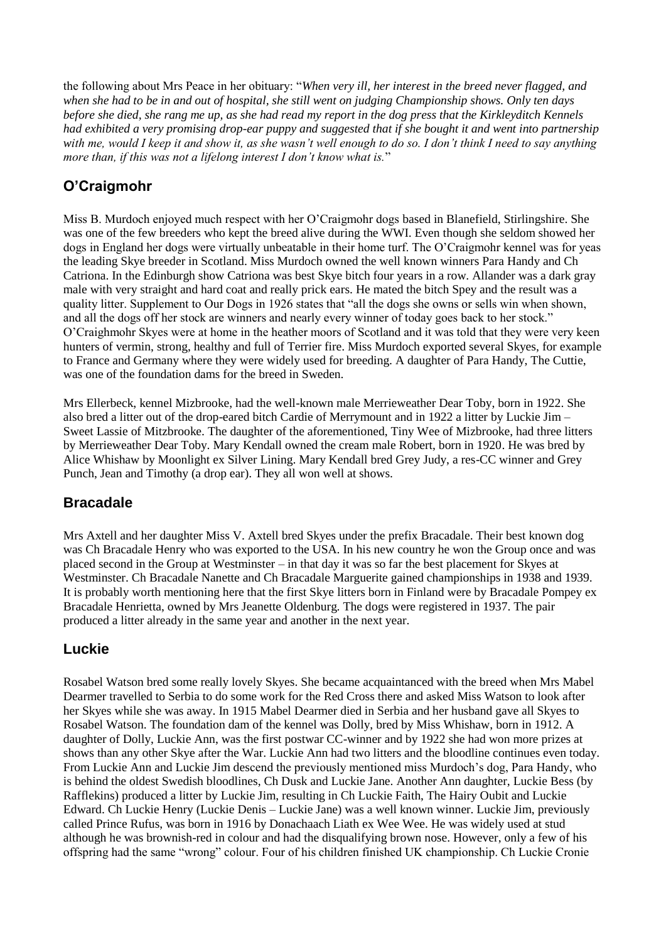the following about Mrs Peace in her obituary: "*When very ill, her interest in the breed never flagged, and when she had to be in and out of hospital, she still went on judging Championship shows. Only ten days before she died, she rang me up, as she had read my report in the dog press that the Kirkleyditch Kennels had exhibited a very promising drop-ear puppy and suggested that if she bought it and went into partnership with me, would I keep it and show it, as she wasn't well enough to do so. I don't think I need to say anything more than, if this was not a lifelong interest I don't know what is.*"

# **O'Craigmohr**

Miss B. Murdoch enjoyed much respect with her O'Craigmohr dogs based in Blanefield, Stirlingshire. She was one of the few breeders who kept the breed alive during the WWI. Even though she seldom showed her dogs in England her dogs were virtually unbeatable in their home turf. The O'Craigmohr kennel was for yeas the leading Skye breeder in Scotland. Miss Murdoch owned the well known winners Para Handy and Ch Catriona. In the Edinburgh show Catriona was best Skye bitch four years in a row. Allander was a dark gray male with very straight and hard coat and really prick ears. He mated the bitch Spey and the result was a quality litter. Supplement to Our Dogs in 1926 states that "all the dogs she owns or sells win when shown, and all the dogs off her stock are winners and nearly every winner of today goes back to her stock." O'Craighmohr Skyes were at home in the heather moors of Scotland and it was told that they were very keen hunters of vermin, strong, healthy and full of Terrier fire. Miss Murdoch exported several Skyes, for example to France and Germany where they were widely used for breeding. A daughter of Para Handy, The Cuttie, was one of the foundation dams for the breed in Sweden.

Mrs Ellerbeck, kennel Mizbrooke, had the well-known male Merrieweather Dear Toby, born in 1922. She also bred a litter out of the drop-eared bitch Cardie of Merrymount and in 1922 a litter by Luckie Jim – Sweet Lassie of Mitzbrooke. The daughter of the aforementioned, Tiny Wee of Mizbrooke, had three litters by Merrieweather Dear Toby. Mary Kendall owned the cream male Robert, born in 1920. He was bred by Alice Whishaw by Moonlight ex Silver Lining. Mary Kendall bred Grey Judy, a res-CC winner and Grey Punch, Jean and Timothy (a drop ear). They all won well at shows.

# **Bracadale**

Mrs Axtell and her daughter Miss V. Axtell bred Skyes under the prefix Bracadale. Their best known dog was Ch Bracadale Henry who was exported to the USA. In his new country he won the Group once and was placed second in the Group at Westminster – in that day it was so far the best placement for Skyes at Westminster. Ch Bracadale Nanette and Ch Bracadale Marguerite gained championships in 1938 and 1939. It is probably worth mentioning here that the first Skye litters born in Finland were by Bracadale Pompey ex Bracadale Henrietta, owned by Mrs Jeanette Oldenburg. The dogs were registered in 1937. The pair produced a litter already in the same year and another in the next year.

# **Luckie**

Rosabel Watson bred some really lovely Skyes. She became acquaintanced with the breed when Mrs Mabel Dearmer travelled to Serbia to do some work for the Red Cross there and asked Miss Watson to look after her Skyes while she was away. In 1915 Mabel Dearmer died in Serbia and her husband gave all Skyes to Rosabel Watson. The foundation dam of the kennel was Dolly, bred by Miss Whishaw, born in 1912. A daughter of Dolly, Luckie Ann, was the first postwar CC-winner and by 1922 she had won more prizes at shows than any other Skye after the War. Luckie Ann had two litters and the bloodline continues even today. From Luckie Ann and Luckie Jim descend the previously mentioned miss Murdoch's dog, Para Handy, who is behind the oldest Swedish bloodlines, Ch Dusk and Luckie Jane. Another Ann daughter, Luckie Bess (by Rafflekins) produced a litter by Luckie Jim, resulting in Ch Luckie Faith, The Hairy Oubit and Luckie Edward. Ch Luckie Henry (Luckie Denis – Luckie Jane) was a well known winner. Luckie Jim, previously called Prince Rufus, was born in 1916 by Donachaach Liath ex Wee Wee. He was widely used at stud although he was brownish-red in colour and had the disqualifying brown nose. However, only a few of his offspring had the same "wrong" colour. Four of his children finished UK championship. Ch Luckie Cronie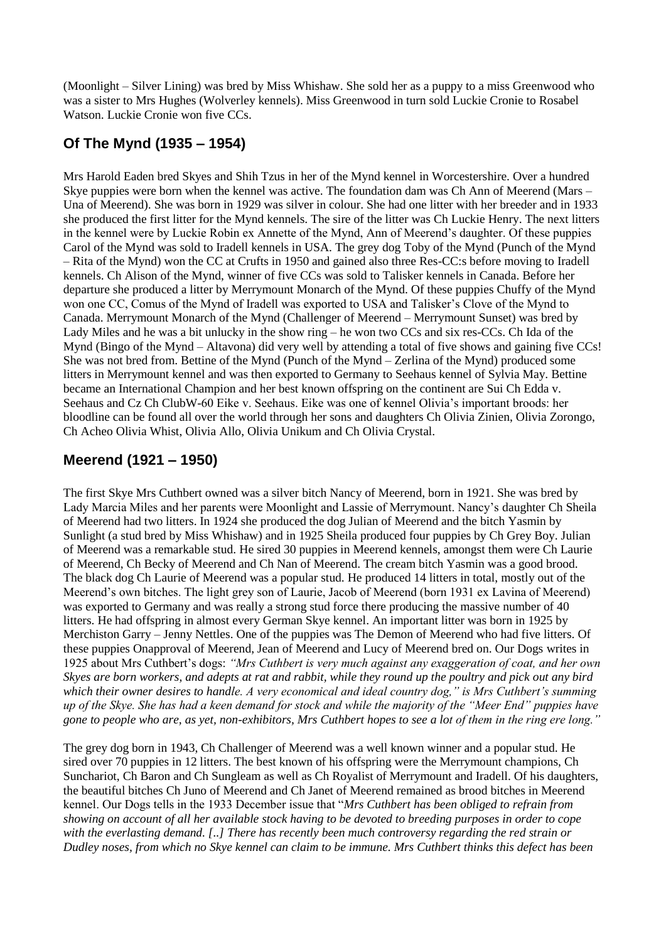(Moonlight – Silver Lining) was bred by Miss Whishaw. She sold her as a puppy to a miss Greenwood who was a sister to Mrs Hughes (Wolverley kennels). Miss Greenwood in turn sold Luckie Cronie to Rosabel Watson. Luckie Cronie won five CCs.

### **Of The Mynd (1935 – 1954)**

Mrs Harold Eaden bred Skyes and Shih Tzus in her of the Mynd kennel in Worcestershire. Over a hundred Skye puppies were born when the kennel was active. The foundation dam was Ch Ann of Meerend (Mars – Una of Meerend). She was born in 1929 was silver in colour. She had one litter with her breeder and in 1933 she produced the first litter for the Mynd kennels. The sire of the litter was Ch Luckie Henry. The next litters in the kennel were by Luckie Robin ex Annette of the Mynd, Ann of Meerend's daughter. Of these puppies Carol of the Mynd was sold to Iradell kennels in USA. The grey dog Toby of the Mynd (Punch of the Mynd – Rita of the Mynd) won the CC at Crufts in 1950 and gained also three Res-CC:s before moving to Iradell kennels. Ch Alison of the Mynd, winner of five CCs was sold to Talisker kennels in Canada. Before her departure she produced a litter by Merrymount Monarch of the Mynd. Of these puppies Chuffy of the Mynd won one CC, Comus of the Mynd of Iradell was exported to USA and Talisker's Clove of the Mynd to Canada. Merrymount Monarch of the Mynd (Challenger of Meerend – Merrymount Sunset) was bred by Lady Miles and he was a bit unlucky in the show ring – he won two CCs and six res-CCs. Ch Ida of the Mynd (Bingo of the Mynd – Altavona) did very well by attending a total of five shows and gaining five CCs! She was not bred from. Bettine of the Mynd (Punch of the Mynd – Zerlina of the Mynd) produced some litters in Merrymount kennel and was then exported to Germany to Seehaus kennel of Sylvia May. Bettine became an International Champion and her best known offspring on the continent are Sui Ch Edda v. Seehaus and Cz Ch ClubW-60 Eike v. Seehaus. Eike was one of kennel Olivia's important broods: her bloodline can be found all over the world through her sons and daughters Ch Olivia Zinien, Olivia Zorongo, Ch Acheo Olivia Whist, Olivia Allo, Olivia Unikum and Ch Olivia Crystal.

# **Meerend (1921 – 1950)**

The first Skye Mrs Cuthbert owned was a silver bitch Nancy of Meerend, born in 1921. She was bred by Lady Marcia Miles and her parents were Moonlight and Lassie of Merrymount. Nancy's daughter Ch Sheila of Meerend had two litters. In 1924 she produced the dog Julian of Meerend and the bitch Yasmin by Sunlight (a stud bred by Miss Whishaw) and in 1925 Sheila produced four puppies by Ch Grey Boy. Julian of Meerend was a remarkable stud. He sired 30 puppies in Meerend kennels, amongst them were Ch Laurie of Meerend, Ch Becky of Meerend and Ch Nan of Meerend. The cream bitch Yasmin was a good brood. The black dog Ch Laurie of Meerend was a popular stud. He produced 14 litters in total, mostly out of the Meerend's own bitches. The light grey son of Laurie, Jacob of Meerend (born 1931 ex Lavina of Meerend) was exported to Germany and was really a strong stud force there producing the massive number of 40 litters. He had offspring in almost every German Skye kennel. An important litter was born in 1925 by Merchiston Garry – Jenny Nettles. One of the puppies was The Demon of Meerend who had five litters. Of these puppies Onapproval of Meerend, Jean of Meerend and Lucy of Meerend bred on. Our Dogs writes in 1925 about Mrs Cuthbert's dogs: *"Mrs Cuthbert is very much against any exaggeration of coat, and her own Skyes are born workers, and adepts at rat and rabbit, while they round up the poultry and pick out any bird which their owner desires to handle. A very economical and ideal country dog," is Mrs Cuthbert's summing up of the Skye. She has had a keen demand for stock and while the majority of the "Meer End" puppies have gone to people who are, as yet, non-exhibitors, Mrs Cuthbert hopes to see a lot of them in the ring ere long."*

The grey dog born in 1943, Ch Challenger of Meerend was a well known winner and a popular stud. He sired over 70 puppies in 12 litters. The best known of his offspring were the Merrymount champions, Ch Sunchariot, Ch Baron and Ch Sungleam as well as Ch Royalist of Merrymount and Iradell. Of his daughters, the beautiful bitches Ch Juno of Meerend and Ch Janet of Meerend remained as brood bitches in Meerend kennel. Our Dogs tells in the 1933 December issue that "*Mrs Cuthbert has been obliged to refrain from showing on account of all her available stock having to be devoted to breeding purposes in order to cope with the everlasting demand. [..] There has recently been much controversy regarding the red strain or Dudley noses, from which no Skye kennel can claim to be immune. Mrs Cuthbert thinks this defect has been*